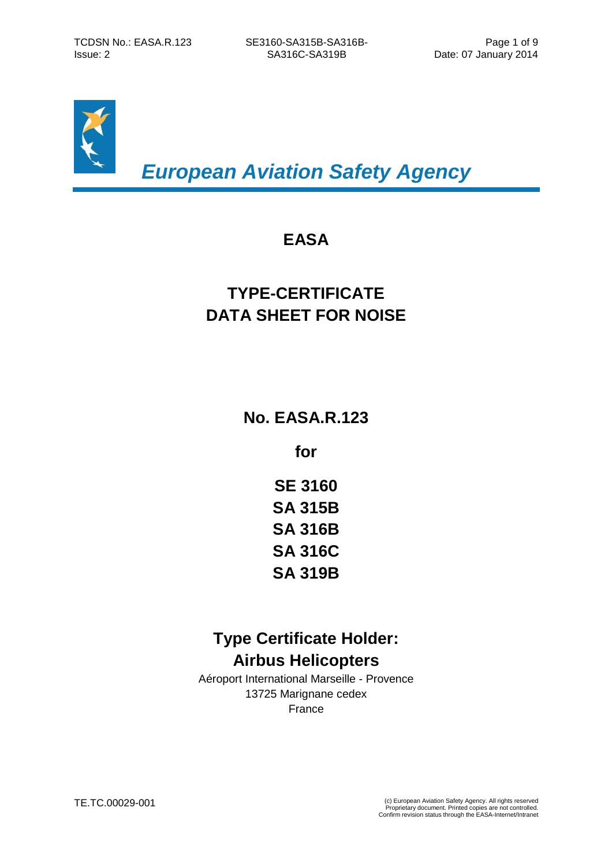Issue: 2 **SA316C-SA319B** Date: 07 January 2014



## **EASA**

# **TYPE-CERTIFICATE DATA SHEET FOR NOISE**

**No. EASA.R.123** 

**for** 

**SE 3160 SA 315B SA 316B SA 316C SA 319B** 

# **Type Certificate Holder: Airbus Helicopters**

Aéroport International Marseille - Provence 13725 Marignane cedex France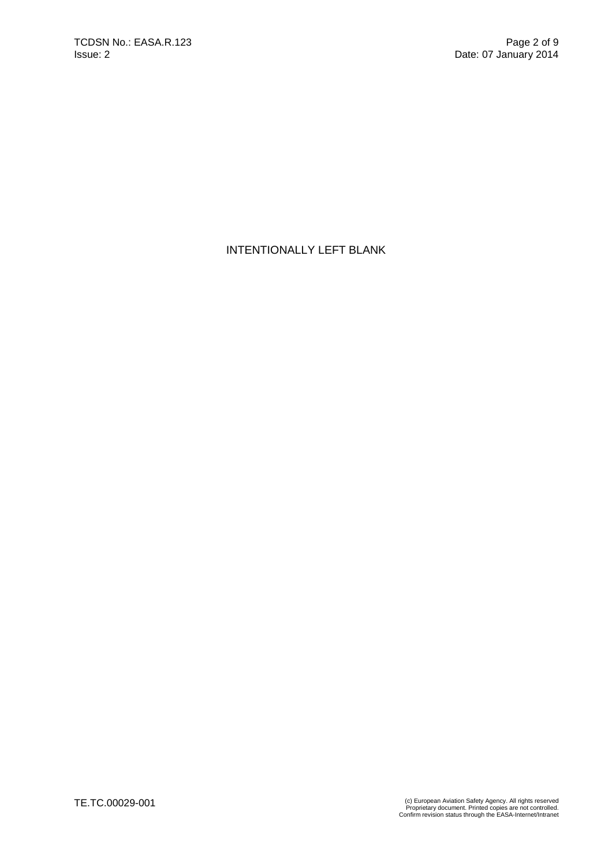### INTENTIONALLY LEFT BLANK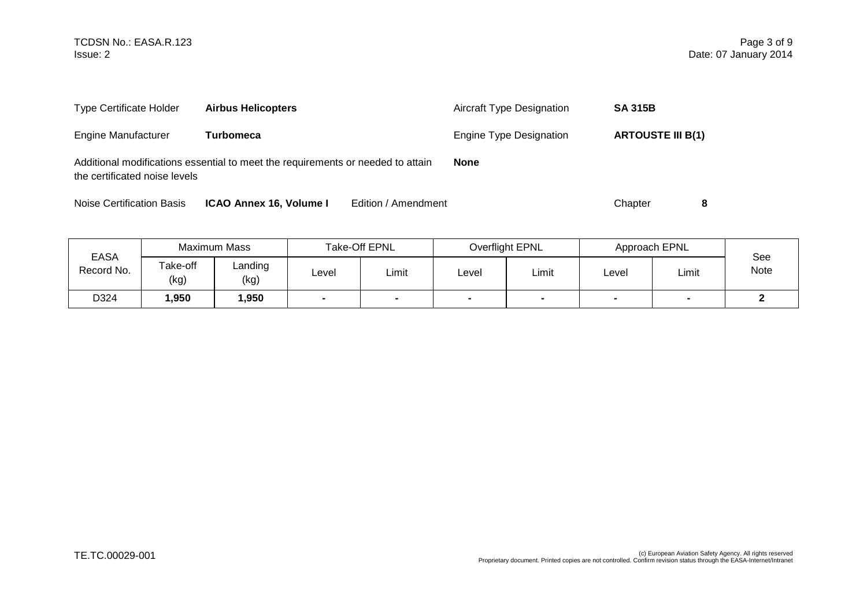| <b>Type Certificate Holder</b> | <b>Airbus Helicopters</b>                                                       |                     | <b>Aircraft Type Designation</b> | <b>SA 315B</b>           |   |
|--------------------------------|---------------------------------------------------------------------------------|---------------------|----------------------------------|--------------------------|---|
| <b>Engine Manufacturer</b>     | Turbomeca                                                                       |                     | Engine Type Designation          | <b>ARTOUSTE III B(1)</b> |   |
| the certificated noise levels  | Additional modifications essential to meet the requirements or needed to attain |                     | None                             |                          |   |
| Noise Certification Basis      | <b>ICAO Annex 16, Volume I</b>                                                  | Edition / Amendment |                                  | Chapter                  | 8 |

| <b>EASA</b> |                  | Maximum Mass    | Take-Off EPNL |                | Overflight EPNL |                | Approach EPNL |       | See         |
|-------------|------------------|-----------------|---------------|----------------|-----------------|----------------|---------------|-------|-------------|
| Record No.  | Take-off<br>(kg) | Landing<br>(kg) | Level         | ∟imit          | Level           | Limit          | ∟evel         | Limit | <b>Note</b> |
| D324        | ,950             | 950, ا          |               | $\blacksquare$ |                 | $\blacksquare$ |               |       |             |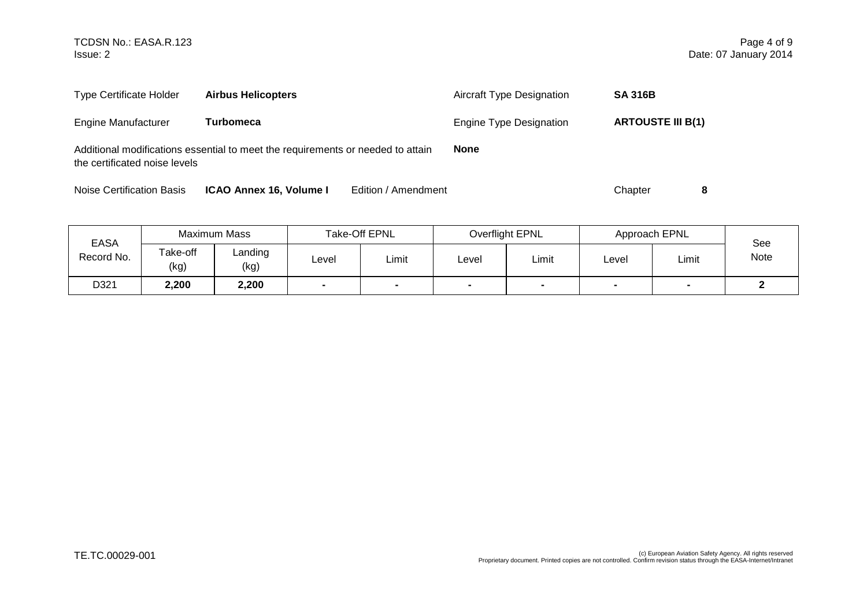| TCDSN No.: EASA.R.123 | Page 4 of 9           |
|-----------------------|-----------------------|
| Issue: 2              | Date: 07 January 2014 |

| <b>Type Certificate Holder</b> | <b>Airbus Helicopters</b>                                                       |                     | <b>Aircraft Type Designation</b> | <b>SA 316B</b>           |   |
|--------------------------------|---------------------------------------------------------------------------------|---------------------|----------------------------------|--------------------------|---|
| <b>Engine Manufacturer</b>     | Turbomeca                                                                       |                     | <b>Engine Type Designation</b>   | <b>ARTOUSTE III B(1)</b> |   |
| the certificated noise levels  | Additional modifications essential to meet the requirements or needed to attain |                     | <b>None</b>                      |                          |   |
| Noise Certification Basis      | ICAO Annex 16, Volume I                                                         | Edition / Amendment |                                  | Chapter                  | 8 |

| <b>EASA</b> |                  | Maximum Mass    | Take-Off EPNL |       | Overflight EPNL |                | Approach EPNL |       | See  |
|-------------|------------------|-----------------|---------------|-------|-----------------|----------------|---------------|-------|------|
| Record No.  | Take-off<br>(kg) | Landing<br>(kg) | Level         | ∟imit | ∟evel           | Limit          | _evel         | ∟imit | Note |
| D321        | 2,200            | 2,200           |               |       |                 | $\blacksquare$ |               |       |      |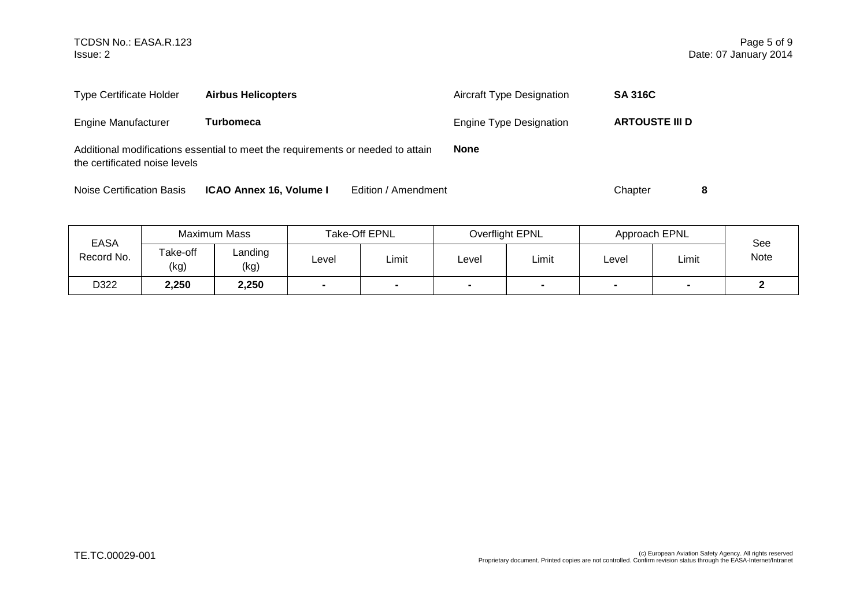| TCDSN No.: EASA.R.123 | Page 5 of 9           |
|-----------------------|-----------------------|
| Issue: 2              | Date: 07 January 2014 |

| <b>Type Certificate Holder</b>   | <b>Airbus Helicopters</b>                                                       |                     | Aircraft Type Designation      | <b>SA 316C</b>        |   |
|----------------------------------|---------------------------------------------------------------------------------|---------------------|--------------------------------|-----------------------|---|
| <b>Engine Manufacturer</b>       | Turbomeca                                                                       |                     | <b>Engine Type Designation</b> | <b>ARTOUSTE III D</b> |   |
| the certificated noise levels    | Additional modifications essential to meet the requirements or needed to attain |                     | <b>None</b>                    |                       |   |
| <b>Noise Certification Basis</b> | <b>ICAO Annex 16, Volume I</b>                                                  | Edition / Amendment |                                | Chapter               | 8 |

| <b>EASA</b> |                  | Maximum Mass    | Take-Off EPNL |       | Overflight EPNL |       | Approach EPNL |       | See  |
|-------------|------------------|-----------------|---------------|-------|-----------------|-------|---------------|-------|------|
| Record No.  | Take-off<br>(kg) | Landing<br>(kg) | Level         | _imit | ∟evel           | Limit | _evel         | ∟imit | Note |
| D322        | 2,250            | 2,250           |               |       |                 |       |               |       |      |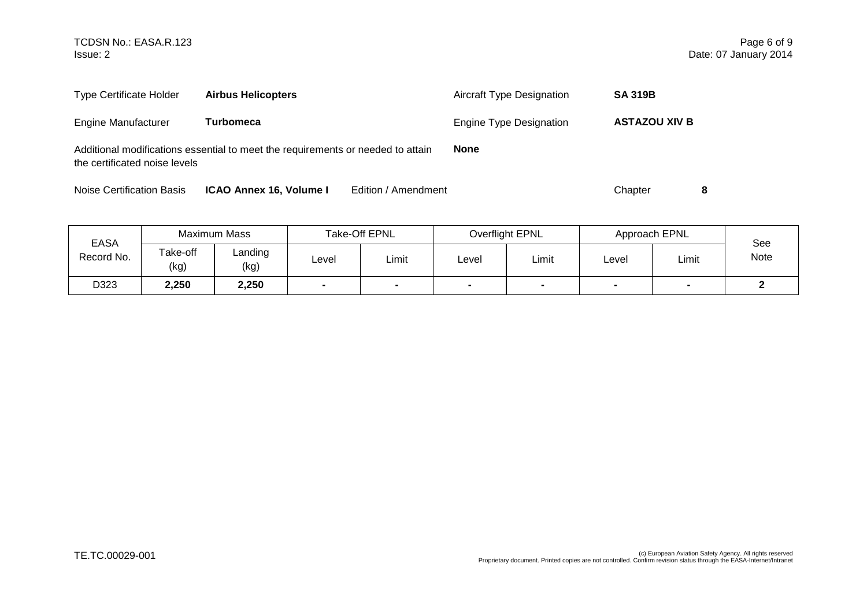| TCDSN No.: EASA.R.123 | Page 6 of 9           |
|-----------------------|-----------------------|
| Issue: 2              | Date: 07 January 2014 |

| <b>Type Certificate Holder</b> | <b>Airbus Helicopters</b>                                                       |                     | Aircraft Type Designation      | <b>SA 319B</b>       |   |
|--------------------------------|---------------------------------------------------------------------------------|---------------------|--------------------------------|----------------------|---|
| <b>Engine Manufacturer</b>     | Turbomeca                                                                       |                     | <b>Engine Type Designation</b> | <b>ASTAZOU XIV B</b> |   |
| the certificated noise levels  | Additional modifications essential to meet the requirements or needed to attain |                     | <b>None</b>                    |                      |   |
| Noise Certification Basis      | ICAO Annex 16, Volume I                                                         | Edition / Amendment |                                | Chapter              | 8 |

| <b>EASA</b> |                  | Maximum Mass    | Take-Off EPNL |       | Overflight EPNL |                | Approach EPNL |       | See  |
|-------------|------------------|-----------------|---------------|-------|-----------------|----------------|---------------|-------|------|
| Record No.  | Take-off<br>(kg) | Landing<br>(kg) | Level         | Limit | Level           | Limit          | ∟evel         | Limit | Note |
| D323        | 2,250            | 2,250           |               |       |                 | $\blacksquare$ |               |       |      |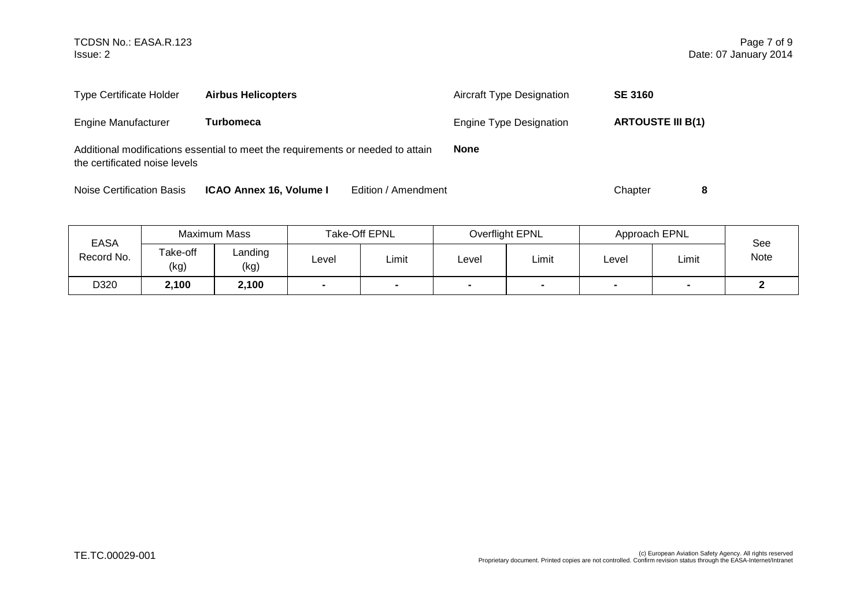| TCDSN No.: EASA.R.123 | Page 7 of 9           |
|-----------------------|-----------------------|
| Issue: 2              | Date: 07 January 2014 |

| <b>Type Certificate Holder</b> | <b>Airbus Helicopters</b>                                                       |                     | <b>Aircraft Type Designation</b> | <b>SE 3160</b>           |   |
|--------------------------------|---------------------------------------------------------------------------------|---------------------|----------------------------------|--------------------------|---|
| <b>Engine Manufacturer</b>     | Turbomeca                                                                       |                     | Engine Type Designation          | <b>ARTOUSTE III B(1)</b> |   |
| the certificated noise levels  | Additional modifications essential to meet the requirements or needed to attain | <b>None</b>         |                                  |                          |   |
| Noise Certification Basis      | ICAO Annex 16, Volume I                                                         | Edition / Amendment |                                  | Chapter                  | 8 |

|                           | Maximum Mass     |                 | Take-Off EPNL |       | Overflight EPNL |                | Approach EPNL |                |                    |
|---------------------------|------------------|-----------------|---------------|-------|-----------------|----------------|---------------|----------------|--------------------|
| <b>EASA</b><br>Record No. | Take-off<br>(kg) | Landing<br>(kg) | Level         | ∟imit | Level           | Limit          | ∟evel         | Limit          | See<br><b>Note</b> |
| D320                      | 2,100            | 2,100           |               |       |                 | $\blacksquare$ |               | $\blacksquare$ |                    |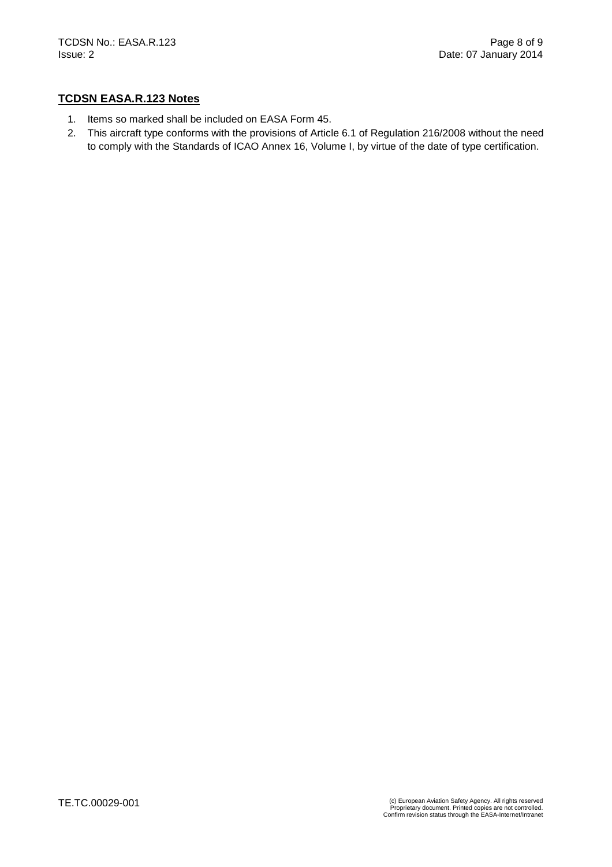#### **TCDSN EASA.R.123 Notes**

- 1. Items so marked shall be included on EASA Form 45.
- 2. This aircraft type conforms with the provisions of Article 6.1 of Regulation 216/2008 without the need to comply with the Standards of ICAO Annex 16, Volume I, by virtue of the date of type certification.